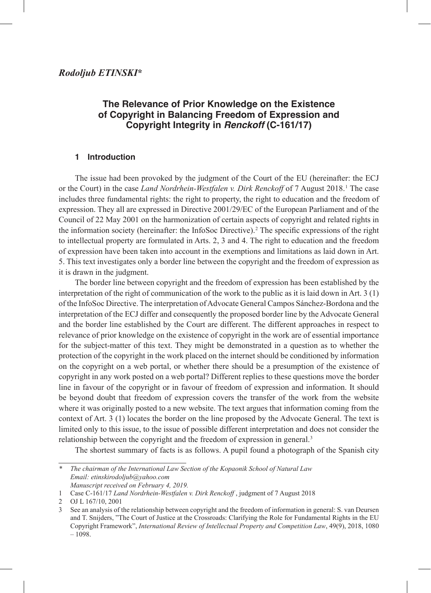# **The Relevance of Prior Knowledge on the Existence of Copyright in Balancing Freedom of Expression and Copyright Integrity in** *Renckoff* **(C-161/17)**

# **1 Introduction**

The issue had been provoked by the judgment of the Court of the EU (hereinafter: the ECJ or the Court) in the case *Land Nordrhein-Westfalen v. Dirk Renckoff* of 7 August 2018. 1 The case includes three fundamental rights: the right to property, the right to education and the freedom of expression. They all are expressed in Directive 2001/29/EC of the European Parliament and of the Council of 22 May 2001 on the harmonization of certain aspects of copyright and related rights in the information society (hereinafter: the InfoSoc Directive). 2 The specific expressions of the right to intellectual property are formulated in Arts. 2, 3 and 4. The right to education and the freedom of expression have been taken into account in the exemptions and limitations as laid down in Art. 5. This text investigates only a border line between the copyright and the freedom of expression as it is drawn in the judgment.

The border line between copyright and the freedom of expression has been established by the interpretation of the right of communication of the work to the public as it is laid down in Art. 3 (1) of the InfoSoc Directive. The interpretation of Advocate General Campos Sánchez-Bordona and the interpretation of the ECJ differ and consequently the proposed border line by the Advocate General and the border line established by the Court are different. The different approaches in respect to relevance of prior knowledge on the existence of copyright in the work are of essential importance for the subject-matter of this text. They might be demonstrated in a question as to whether the protection of the copyright in the work placed on the internet should be conditioned by information on the copyright on a web portal, or whether there should be a presumption of the existence of copyright in any work posted on a web portal? Different replies to these questions move the border line in favour of the copyright or in favour of freedom of expression and information. It should be beyond doubt that freedom of expression covers the transfer of the work from the website where it was originally posted to a new website. The text argues that information coming from the context of Art. 3 (1) locates the border on the line proposed by the Advocate General. The text is limited only to this issue, to the issue of possible different interpretation and does not consider the relationship between the copyright and the freedom of expression in general.<sup>3</sup>

The shortest summary of facts is as follows. A pupil found a photograph of the Spanish city

*<sup>\*</sup> The chairman of the International Law Section of the Kopaonik School of Natural Law Email: etinskirodoljub@yahoo.com Manuscript received on February 4, 2019.*

<sup>1</sup> Case C-161/17 *Land Nordrhein-Westfalen v. Dirk Renckoff* , judgment of 7 August 2018

<sup>2</sup> OJ L 167/10, 2001

See an analysis of the relationship between copyright and the freedom of information in general: S. van Deursen and T. Snijders, "The Court of Justice at the Crossroads: Clarifying the Role for Fundamental Rights in the EU Copyright Framework", *International Review of Intellectual Property and Competition Law*, 49(9), 2018, 1080 – 1098.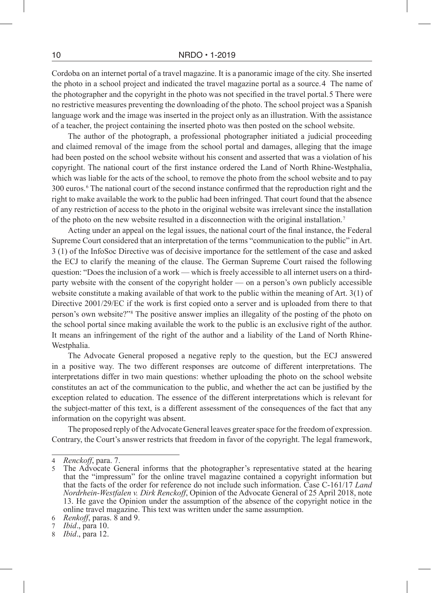Cordoba on an internet portal of a travel magazine. It is a panoramic image of the city. She inserted the photo in a school project and indicated the travel magazine portal as a source. 4 The name of the photographer and the copyright in the photo was not specified in the travel portal. 5 There were no restrictive measures preventing the downloading of the photo. The school project was a Spanish language work and the image was inserted in the project only as an illustration. With the assistance of a teacher, the project containing the inserted photo was then posted on the school website.

The author of the photograph, a professional photographer initiated a judicial proceeding and claimed removal of the image from the school portal and damages, alleging that the image had been posted on the school website without his consent and asserted that was a violation of his copyright. The national court of the first instance ordered the Land of North Rhine-Westphalia, which was liable for the acts of the school, to remove the photo from the school website and to pay 300 euros. 6 The national court of the second instance confirmed that the reproduction right and the right to make available the work to the public had been infringed. That court found that the absence of any restriction of access to the photo in the original website was irrelevant since the installation of the photo on the new website resulted in a disconnection with the original installation. 7

Acting under an appeal on the legal issues, the national court of the final instance, the Federal Supreme Court considered that an interpretation of the terms "communication to the public" in Art. 3 (1) of the InfoSoc Directive was of decisive importance for the settlement of the case and asked the ECJ to clarify the meaning of the clause. The German Supreme Court raised the following question: "Does the inclusion of a work — which is freely accessible to all internet users on a thirdparty website with the consent of the copyright holder — on a person's own publicly accessible website constitute a making available of that work to the public within the meaning of Art. 3(1) of Directive 2001/29/EC if the work is first copied onto a server and is uploaded from there to that person's own website?"<sup>8</sup> The positive answer implies an illegality of the posting of the photo on the school portal since making available the work to the public is an exclusive right of the author. It means an infringement of the right of the author and a liability of the Land of North Rhine-Westphalia.

The Advocate General proposed a negative reply to the question, but the ECJ answered in a positive way. The two different responses are outcome of different interpretations. The interpretations differ in two main questions: whether uploading the photo on the school website constitutes an act of the communication to the public, and whether the act can be justified by the exception related to education. The essence of the different interpretations which is relevant for the subject-matter of this text, is a different assessment of the consequences of the fact that any information on the copyright was absent.

The proposed reply of the Advocate General leaves greater space for the freedom of expression. Contrary, the Court's answer restricts that freedom in favor of the copyright. The legal framework,

<sup>4</sup> *Renckoff*, para. 7.

<sup>5</sup> The Advocate General informs that the photographer's representative stated at the hearing that the "impressum" for the online travel magazine contained a copyright information but that the facts of the order for reference do not include such information. Case C-161/17 *Land Nordrhein-Westfalen v. Dirk Renckoff*, Opinion of the Advocate General of 25 April 2018, note 13. He gave the Opinion under the assumption of the absence of the copyright notice in the online travel magazine. This text was written under the same assumption.

<sup>6</sup> *Renkoff*, paras. 8 and 9.

<sup>7</sup> *Ibid*., para 10.

*Ibid.*, para 12.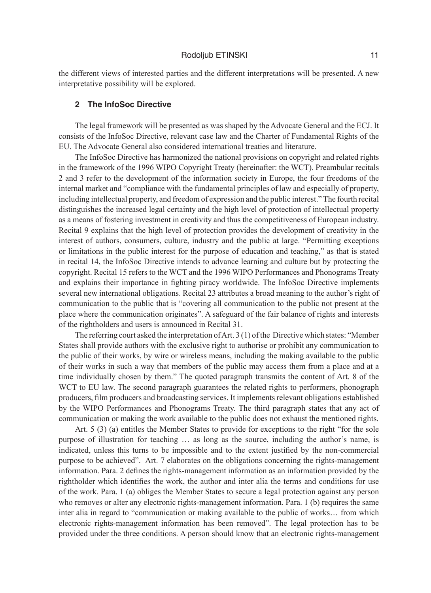the different views of interested parties and the different interpretations will be presented. A new interpretative possibility will be explored.

#### **2 The InfoSoc Directive**

The legal framework will be presented as was shaped by the Advocate General and the ECJ. It consists of the InfoSoc Directive, relevant case law and the Charter of Fundamental Rights of the EU. The Advocate General also considered international treaties and literature.

The InfoSoc Directive has harmonized the national provisions on copyright and related rights in the framework of the 1996 WIPO Copyright Treaty (hereinafter: the WCT). Preambular recitals 2 and 3 refer to the development of the information society in Europe, the four freedoms of the internal market and "compliance with the fundamental principles of law and especially of property, including intellectual property, and freedom of expression and the public interest." The fourth recital distinguishes the increased legal certainty and the high level of protection of intellectual property as a means of fostering investment in creativity and thus the competitiveness of European industry. Recital 9 explains that the high level of protection provides the development of creativity in the interest of authors, consumers, culture, industry and the public at large. "Permitting exceptions or limitations in the public interest for the purpose of education and teaching," as that is stated in recital 14, the InfoSoc Directive intends to advance learning and culture but by protecting the copyright. Recital 15 refers to the WCT and the 1996 WIPO Performances and Phonograms Treaty and explains their importance in fighting piracy worldwide. The InfoSoc Directive implements several new international obligations. Recital 23 attributes a broad meaning to the author's right of communication to the public that is "covering all communication to the public not present at the place where the communication originates". A safeguard of the fair balance of rights and interests of the rightholders and users is announced in Recital 31.

The referring court asked the interpretation of Art. 3 (1) of the Directive which states: "Member States shall provide authors with the exclusive right to authorise or prohibit any communication to the public of their works, by wire or wireless means, including the making available to the public of their works in such a way that members of the public may access them from a place and at a time individually chosen by them." The quoted paragraph transmits the content of Art. 8 of the WCT to EU law. The second paragraph guarantees the related rights to performers, phonograph producers, film producers and broadcasting services. It implements relevant obligations established by the WIPO Performances and Phonograms Treaty. The third paragraph states that any act of communication or making the work available to the public does not exhaust the mentioned rights.

Art. 5 (3) (a) entitles the Member States to provide for exceptions to the right "for the sole purpose of illustration for teaching … as long as the source, including the author's name, is indicated, unless this turns to be impossible and to the extent justified by the non-commercial purpose to be achieved". Art. 7 elaborates on the obligations concerning the rights-management information. Para. 2 defines the rights-management information as an information provided by the rightholder which identifies the work, the author and inter alia the terms and conditions for use of the work. Para. 1 (a) obliges the Member States to secure a legal protection against any person who removes or alter any electronic rights-management information. Para. 1 (b) requires the same inter alia in regard to "communication or making available to the public of works… from which electronic rights-management information has been removed". The legal protection has to be provided under the three conditions. A person should know that an electronic rights-management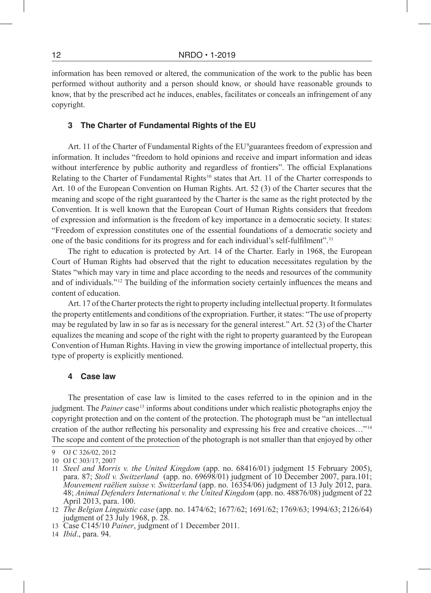information has been removed or altered, the communication of the work to the public has been performed without authority and a person should know, or should have reasonable grounds to know, that by the prescribed act he induces, enables, facilitates or conceals an infringement of any copyright.

## **3 The Charter of Fundamental Rights of the EU**

Art. 11 of the Charter of Fundamental Rights of the EU<sup>9</sup>guarantees freedom of expression and information. It includes "freedom to hold opinions and receive and impart information and ideas without interference by public authority and regardless of frontiers". The official Explanations Relating to the Charter of Fundamental Rights<sup>10</sup> states that Art. 11 of the Charter corresponds to Art. 10 of the European Convention on Human Rights. Art. 52 (3) of the Charter secures that the meaning and scope of the right guaranteed by the Charter is the same as the right protected by the Convention. It is well known that the European Court of Human Rights considers that freedom of expression and information is the freedom of key importance in a democratic society. It states: "Freedom of expression constitutes one of the essential foundations of a democratic society and one of the basic conditions for its progress and for each individual's self-fulfilment". 11

The right to education is protected by Art. 14 of the Charter. Early in 1968, the European Court of Human Rights had observed that the right to education necessitates regulation by the States "which may vary in time and place according to the needs and resources of the community and of individuals."<sup>12</sup> The building of the information society certainly influences the means and content of education.

Art. 17 of the Charter protects the right to property including intellectual property. It formulates the property entitlements and conditions of the expropriation. Further, it states: "The use of property may be regulated by law in so far as is necessary for the general interest." Art. 52 (3) of the Charter equalizes the meaning and scope of the right with the right to property guaranteed by the European Convention of Human Rights. Having in view the growing importance of intellectual property, this type of property is explicitly mentioned.

## **4 Case law**

The presentation of case law is limited to the cases referred to in the opinion and in the judgment. The *Painer* case 13 informs about conditions under which realistic photographs enjoy the copyright protection and on the content of the protection. The photograph must be "an intellectual creation of the author reflecting his personality and expressing his free and creative choices..."<sup>14</sup> The scope and content of the protection of the photograph is not smaller than that enjoyed by other

<sup>9</sup> OJ C 326/02, 2012

<sup>10</sup> OJ C 303/17, 2007

<sup>11</sup> *Steel and Morris v. the United Kingdom* (app. no. 68416/01) judgment 15 February 2005), para. 87; *Stoll v. Switzerland* (app. no. 69698/01) judgment of 10 December 2007, para.101; *Mouvement raëlien suisse v. Switzerland* (app. no. 16354/06) judgment of 13 July 2012, para. 48; *Animal Defenders International v. the United Kingdom* (app. no. 48876/08) judgment of 22 April 2013, para. 100.

<sup>12</sup> *The Belgian Linguistic case* (app. no. 1474/62; 1677/62; 1691/62; 1769/63; 1994/63; 2126/64) judgment of 23 July 1968, p. 28.

<sup>13</sup> Case C145/10 *Painer*, judgment of 1 December 2011.

<sup>14</sup> *Ibid*., para. 94.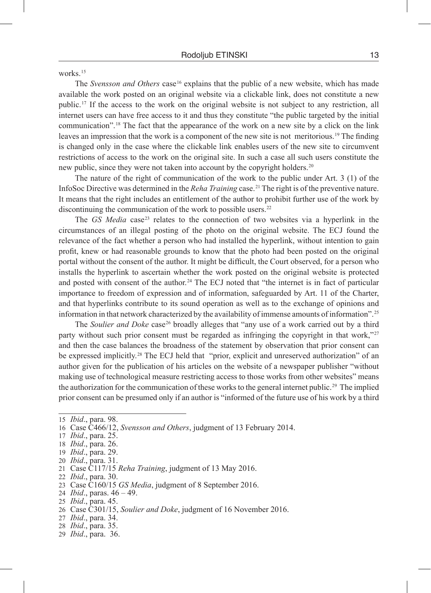works<sup>15</sup>

The *Svensson and Others* case 16 explains that the public of a new website, which has made available the work posted on an original website via a clickable link, does not constitute a new public. 17 If the access to the work on the original website is not subject to any restriction, all internet users can have free access to it and thus they constitute "the public targeted by the initial communication". 18 The fact that the appearance of the work on a new site by a click on the link leaves an impression that the work is a component of the new site is not meritorious. 19 The finding is changed only in the case where the clickable link enables users of the new site to circumvent restrictions of access to the work on the original site. In such a case all such users constitute the new public, since they were not taken into account by the copyright holders. 20

The nature of the right of communication of the work to the public under Art. 3 (1) of the InfoSoc Directive was determined in the *Reha Training* case. 21 The right is of the preventive nature. It means that the right includes an entitlement of the author to prohibit further use of the work by discontinuing the communication of the work to possible users.<sup>22</sup>

The *GS Media* case<sup>23</sup> relates to the connection of two websites via a hyperlink in the circumstances of an illegal posting of the photo on the original website. The ECJ found the relevance of the fact whether a person who had installed the hyperlink, without intention to gain profit, knew or had reasonable grounds to know that the photo had been posted on the original portal without the consent of the author. It might be difficult, the Court observed, for a person who installs the hyperlink to ascertain whether the work posted on the original website is protected and posted with consent of the author.<sup>24</sup> The ECJ noted that "the internet is in fact of particular importance to freedom of expression and of information, safeguarded by Art. 11 of the Charter, and that hyperlinks contribute to its sound operation as well as to the exchange of opinions and information in that network characterized by the availability of immense amounts of information". 25

The *Soulier and Doke* case<sup>26</sup> broadly alleges that "any use of a work carried out by a third party without such prior consent must be regarded as infringing the copyright in that work,"<sup>27</sup> and then the case balances the broadness of the statement by observation that prior consent can be expressed implicitly.<sup>28</sup> The ECJ held that "prior, explicit and unreserved authorization" of an author given for the publication of his articles on the website of a newspaper publisher "without making use of technological measure restricting access to those works from other websites" means the authorization for the communication of these works to the general internet public. 29 The implied prior consent can be presumed only if an author is "informed of the future use of his work by a third

- 22 *Ibid*., para. 30.
- 23 Case C160/15 *GS Media*, judgment of 8 September 2016.
- 24 *Ibid*., paras. 46 49.
- 25 *Ibid*., para. 45.
- 26 Case C301/15, *Soulier and Doke*, judgment of 16 November 2016.
- 27 *Ibid*., para. 34.
- 28 *Ibid*., para. 35.
- 29 *Ibid*., para. 36.

<sup>15</sup> *Ibid*., para. 98.

<sup>16</sup> Case C466/12, *Svensson and Others*, judgment of 13 February 2014.

<sup>17</sup> *Ibid*., para. 25.

<sup>18</sup> *Ibid*., para. 26.

<sup>19</sup> *Ibid*., para. 29.

<sup>20</sup> *Ibid*., para. 31.

<sup>21</sup> Case C117/15 *Reha Training*, judgment of 13 May 2016.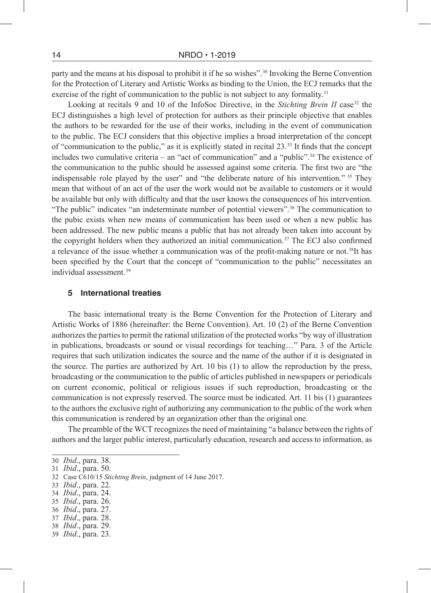party and the means at his disposal to prohibit it if he so wishes". 30 Invoking the Berne Convention for the Protection of Literary and Artistic Works as binding to the Union, the ECJ remarks that the exercise of the right of communication to the public is not subject to any formality.<sup>31</sup>

Looking at recitals 9 and 10 of the InfoSoc Directive, in the *Stichting Brein II* case<sup>32</sup> the ECJ distinguishes a high level of protection for authors as their principle objective that enables the authors to be rewarded for the use of their works, including in the event of communication to the public. The ECJ considers that this objective implies a broad interpretation of the concept of "communication to the public," as it is explicitly stated in recital 23. 33 It finds that the concept includes two cumulative criteria – an "act of communication" and a "public". 34 The existence of the communication to the public should be assessed against some criteria. The first two are "the indispensable role played by the user" and "the deliberate nature of his intervention." <sup>35</sup> They mean that without of an act of the user the work would not be available to customers or it would be available but only with difficulty and that the user knows the consequences of his intervention. "The public" indicates "an indeterminate number of potential viewers".<sup>36</sup> The communication to the pubic exists when new means of communication has been used or when a new public has been addressed. The new public means a public that has not already been taken into account by the copyright holders when they authorized an initial communication. 37 The ECJ also confirmed a relevance of the issue whether a communication was of the profit-making nature or not. 38It has been specified by the Court that the concept of "communication to the public" necessitates an individual assessment. 39

#### **5 International treaties**

The basic international treaty is the Berne Convention for the Protection of Literary and Artistic Works of 1886 (hereinafter: the Berne Convention). Art. 10 (2) of the Berne Convention authorizes the parties to permit the rational utilization of the protected works "by way of illustration in publications, broadcasts or sound or visual recordings for teaching…" Para. 3 of the Article requires that such utilization indicates the source and the name of the author if it is designated in the source. The parties are authorized by Art. 10 bis (1) to allow the reproduction by the press, broadcasting or the communication to the public of articles published in newspapers or periodicals on current economic, political or religious issues if such reproduction, broadcasting or the communication is not expressly reserved. The source must be indicated. Art. 11 bis (1) guarantees to the authors the exclusive right of authorizing any communication to the public of the work when this communication is rendered by an organization other than the original one.

The preamble of the WCT recognizes the need of maintaining "a balance between the rights of authors and the larger public interest, particularly education, research and access to information, as

34 *Ibid*., para. 24.

36 *Ibid*., para. 27.

<sup>30</sup> *Ibid*., para. 38.

<sup>31</sup> *Ibid*., para. 50.

<sup>32</sup> Case C610/15 *Stichting Brein*, judgment of 14 June 2017.

<sup>33</sup> *Ibid*., para. 22.

<sup>35</sup> *Ibid*., para. 26.

<sup>37</sup> *Ibid*., para. 28.

<sup>38</sup> *Ibid*., para. 29.

<sup>39</sup> *Ibid*., para. 23.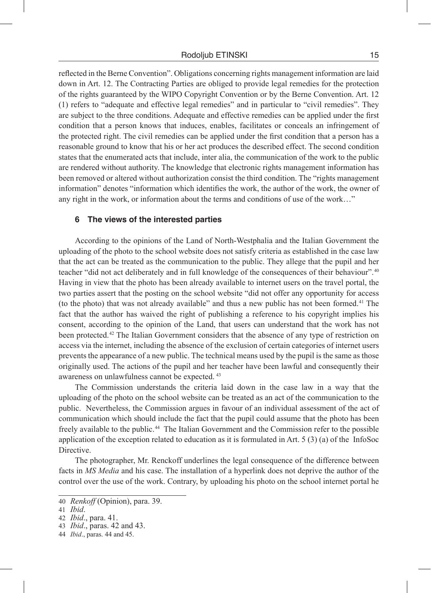reflected in the Berne Convention". Obligations concerning rights management information are laid down in Art. 12. The Contracting Parties are obliged to provide legal remedies for the protection of the rights guaranteed by the WIPO Copyright Convention or by the Berne Convention. Art. 12 (1) refers to "adequate and effective legal remedies" and in particular to "civil remedies". They are subject to the three conditions. Adequate and effective remedies can be applied under the first condition that a person knows that induces, enables, facilitates or conceals an infringement of the protected right. The civil remedies can be applied under the first condition that a person has a reasonable ground to know that his or her act produces the described effect. The second condition states that the enumerated acts that include, inter alia, the communication of the work to the public are rendered without authority. The knowledge that electronic rights management information has been removed or altered without authorization consist the third condition. The "rights management information" denotes "information which identifies the work, the author of the work, the owner of any right in the work, or information about the terms and conditions of use of the work…"

## **6 The views of the interested parties**

According to the opinions of the Land of North-Westphalia and the Italian Government the uploading of the photo to the school website does not satisfy criteria as established in the case law that the act can be treated as the communication to the public. They allege that the pupil and her teacher "did not act deliberately and in full knowledge of the consequences of their behaviour". 40 Having in view that the photo has been already available to internet users on the travel portal, the two parties assert that the posting on the school website "did not offer any opportunity for access (to the photo) that was not already available" and thus a new public has not been formed. 41 The fact that the author has waived the right of publishing a reference to his copyright implies his consent, according to the opinion of the Land, that users can understand that the work has not been protected.<sup>42</sup> The Italian Government considers that the absence of any type of restriction on access via the internet, including the absence of the exclusion of certain categories of internet users prevents the appearance of a new public. The technical means used by the pupil is the same as those originally used. The actions of the pupil and her teacher have been lawful and consequently their awareness on unlawfulness cannot be expected.  43

The Commission understands the criteria laid down in the case law in a way that the uploading of the photo on the school website can be treated as an act of the communication to the public. Nevertheless, the Commission argues in favour of an individual assessment of the act of communication which should include the fact that the pupil could assume that the photo has been freely available to the public. 44 The Italian Government and the Commission refer to the possible application of the exception related to education as it is formulated in Art. 5 (3) (a) of the InfoSoc Directive.

The photographer, Mr. Renckoff underlines the legal consequence of the difference between facts in *MS Media* and his case. The installation of a hyperlink does not deprive the author of the control over the use of the work. Contrary, by uploading his photo on the school internet portal he

<sup>40</sup> *Renkoff* (Opinion), para. 39.

<sup>41</sup> *Ibid*.

<sup>42</sup> *Ibid*., para. 41.

<sup>43</sup> *Ibid*., paras. 42 and 43.

<sup>44</sup> *Ibid*., paras. 44 and 45.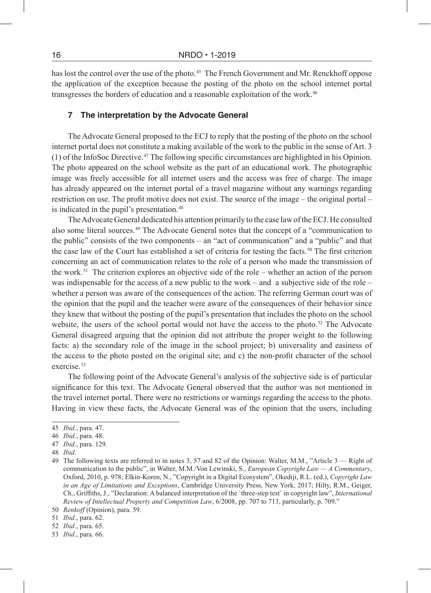has lost the control over the use of the photo.<sup>45</sup> The French Government and Mr. Renckhoff oppose the application of the exception because the posting of the photo on the school internet portal transgresses the borders of education and a reasonable exploitation of the work. 46

# **7 The interpretation by the Advocate General**

The Advocate General proposed to the ECJ to reply that the posting of the photo on the school internet portal does not constitute a making available of the work to the public in the sense of Art. 3 (1) of the InfoSoc Directive. 47 The following specific circumstances are highlighted in his Opinion. The photo appeared on the school website as the part of an educational work. The photographic image was freely accessible for all internet users and the access was free of charge. The image has already appeared on the internet portal of a travel magazine without any warnings regarding restriction on use. The profit motive does not exist. The source of the image – the original portal – is indicated in the pupil's presentation. 48

The Advocate General dedicated his attention primarily to the case law of the ECJ. He consulted also some literal sources. 49 The Advocate General notes that the concept of a "communication to the public" consists of the two components – an "act of communication" and a "public" and that the case law of the Court has established a set of criteria for testing the facts. 50 The first criterion concerning an act of communication relates to the role of a person who made the transmission of the work. 51 The criterion explores an objective side of the role – whether an action of the person was indispensable for the access of a new public to the work – and a subjective side of the role – whether a person was aware of the consequences of the action. The referring German court was of the opinion that the pupil and the teacher were aware of the consequences of their behavior since they knew that without the posting of the pupil's presentation that includes the photo on the school website, the users of the school portal would not have the access to the photo.<sup>52</sup> The Advocate General disagreed arguing that the opinion did not attribute the proper weight to the following facts: a) the secondary role of the image in the school project; b) universality and easiness of the access to the photo posted on the original site; and c) the non-profit character of the school exercise.<sup>53</sup>

The following point of the Advocate General's analysis of the subjective side is of particular significance for this text. The Advocate General observed that the author was not mentioned in the travel internet portal. There were no restrictions or warnings regarding the access to the photo. Having in view these facts, the Advocate General was of the opinion that the users, including

<sup>45</sup> *Ibid*., para. 47.

<sup>46</sup> *Ibid*., para. 48.

<sup>47</sup> *Ibid*., para. 129.

<sup>48</sup> *Ibid*.

<sup>49</sup> The following texts are referred to in notes 3, 57 and 82 of the Opinion: Walter, M.M., "Article 3 — Right of communication to the public", in Walter, M.M./Von Lewinski, S., *European Copyright Law — A Commentary*, Oxford, 2010, p. 978; Elkin-Koren, N., "Copyright in a Digital Ecosystem", Okediji, R.L. (ed.), *Copyright Law in an Age of Limitations and Exceptions*, Cambridge University Press, New York, 2017; Hilty, R.M., Geiger, Ch., Griffiths, J., "Declaration: A balanced interpretation of the `three-step test` in copyright law", *International Review of Intellectual Property and Competition Law*, 6/2008, pp. 707 to 713, particularly, p. 709." 50 *Renkoff* (Opinion), para. 59.

<sup>51</sup> *Ibid*., para. 62.

<sup>52</sup> *Ibid*., para. 65.

<sup>53</sup> *Ibid*., para. 66.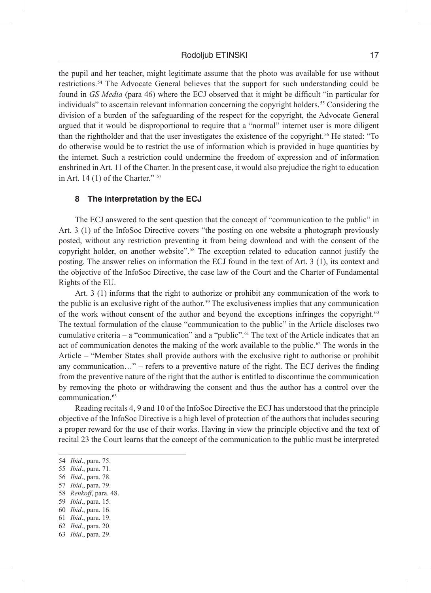#### Rodoljub ETINSKI 17

the pupil and her teacher, might legitimate assume that the photo was available for use without restrictions. 54 The Advocate General believes that the support for such understanding could be found in *GS Media* (para 46) where the ECJ observed that it might be difficult "in particular for individuals" to ascertain relevant information concerning the copyright holders. 55 Considering the division of a burden of the safeguarding of the respect for the copyright, the Advocate General argued that it would be disproportional to require that a "normal" internet user is more diligent than the rightholder and that the user investigates the existence of the copyright. 56 He stated: "To do otherwise would be to restrict the use of information which is provided in huge quantities by the internet. Such a restriction could undermine the freedom of expression and of information enshrined in Art. 11 of the Charter. In the present case, it would also prejudice the right to education in Art. 14 $(1)$  of the Charter."  $57$ 

# **8 The interpretation by the ECJ**

The ECJ answered to the sent question that the concept of "communication to the public" in Art. 3 (1) of the InfoSoc Directive covers "the posting on one website a photograph previously posted, without any restriction preventing it from being download and with the consent of the copyright holder, on another website". 58 The exception related to education cannot justify the posting. The answer relies on information the ECJ found in the text of Art. 3 (1), its context and the objective of the InfoSoc Directive, the case law of the Court and the Charter of Fundamental Rights of the EU.

Art. 3 (1) informs that the right to authorize or prohibit any communication of the work to the public is an exclusive right of the author. 59 The exclusiveness implies that any communication of the work without consent of the author and beyond the exceptions infringes the copyright. 60 The textual formulation of the clause "communication to the public" in the Article discloses two cumulative criteria – a "communication" and a "public". 61 The text of the Article indicates that an act of communication denotes the making of the work available to the public.<sup> $\Omega$ </sup> The words in the Article – "Member States shall provide authors with the exclusive right to authorise or prohibit any communication…" – refers to a preventive nature of the right. The ECJ derives the finding from the preventive nature of the right that the author is entitled to discontinue the communication by removing the photo or withdrawing the consent and thus the author has a control over the communication. 63

Reading recitals 4, 9 and 10 of the InfoSoc Directive the ECJ has understood that the principle objective of the InfoSoc Directive is a high level of protection of the authors that includes securing a proper reward for the use of their works. Having in view the principle objective and the text of recital 23 the Court learns that the concept of the communication to the public must be interpreted

- 58 *Renkoff*, para. 48.
- 59 *Ibid*., para. 15.
- 60 *Ibid*., para. 16.

62 *Ibid*., para. 20.

<sup>54</sup> *Ibid*., para. 75.

<sup>55</sup> *Ibid*., para. 71.

<sup>56</sup> *Ibid*., para. 78.

<sup>57</sup> *Ibid*., para. 79.

<sup>61</sup> *Ibid*., para. 19.

<sup>63</sup> *Ibid*., para. 29.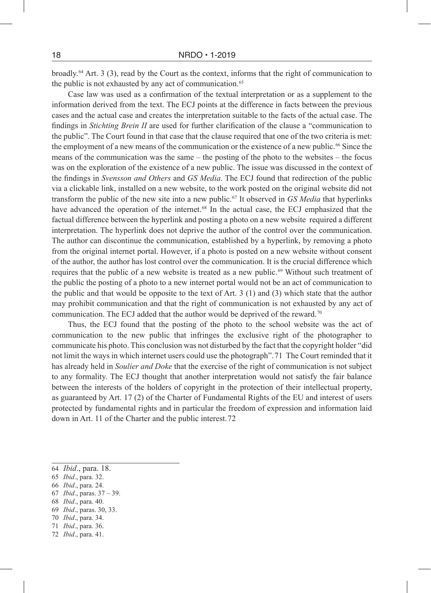broadly. 64 Art. 3 (3), read by the Court as the context, informs that the right of communication to the public is not exhausted by any act of communication. 65

Case law was used as a confirmation of the textual interpretation or as a supplement to the information derived from the text. The ECJ points at the difference in facts between the previous cases and the actual case and creates the interpretation suitable to the facts of the actual case. The findings in *Stichting Brein II* are used for further clarification of the clause a "communication to the public". The Court found in that case that the clause required that one of the two criteria is met: the employment of a new means of the communication or the existence of a new public. 66 Since the means of the communication was the same – the posting of the photo to the websites – the focus was on the exploration of the existence of a new public. The issue was discussed in the context of the findings in *Svensson and Others* and *GS Media*. The ECJ found that redirection of the public via a clickable link, installed on a new website, to the work posted on the original website did not transform the public of the new site into a new public. 67 It observed in *GS Media* that hyperlinks have advanced the operation of the internet.<sup>68</sup> In the actual case, the ECJ emphasized that the factual difference between the hyperlink and posting a photo on a new website required a different interpretation. The hyperlink does not deprive the author of the control over the communication. The author can discontinue the communication, established by a hyperlink, by removing a photo from the original internet portal. However, if a photo is posted on a new website without consent of the author, the author has lost control over the communication. It is the crucial difference which requires that the public of a new website is treated as a new public. 69 Without such treatment of the public the posting of a photo to a new internet portal would not be an act of communication to the public and that would be opposite to the text of Art. 3 (1) and (3) which state that the author may prohibit communication and that the right of communication is not exhausted by any act of communication. The ECJ added that the author would be deprived of the reward. 70

Thus, the ECJ found that the posting of the photo to the school website was the act of communication to the new public that infringes the exclusive right of the photographer to communicate his photo. This conclusion was not disturbed by the fact that the copyright holder "did not limit the ways in which internet users could use the photograph". 71 The Court reminded that it has already held in *Soulier and Doke* that the exercise of the right of communication is not subject to any formality. The ECJ thought that another interpretation would not satisfy the fair balance between the interests of the holders of copyright in the protection of their intellectual property, as guaranteed by Art. 17 (2) of the Charter of Fundamental Rights of the EU and interest of users protected by fundamental rights and in particular the freedom of expression and information laid down in Art. 11 of the Charter and the public interest. 72

- 67 *Ibid*., paras. 37 39.
- 68 *Ibid*., para. 40.
- 69 *Ibid*., paras. 30, 33.
- 70 *Ibid*., para. 34. 71 *Ibid*., para. 36.
- 72 *Ibid*., para. 41.

<sup>64</sup> *Ibid*., para. 18.

<sup>65</sup> *Ibid*., para. 32.

<sup>66</sup> *Ibid*., para. 24.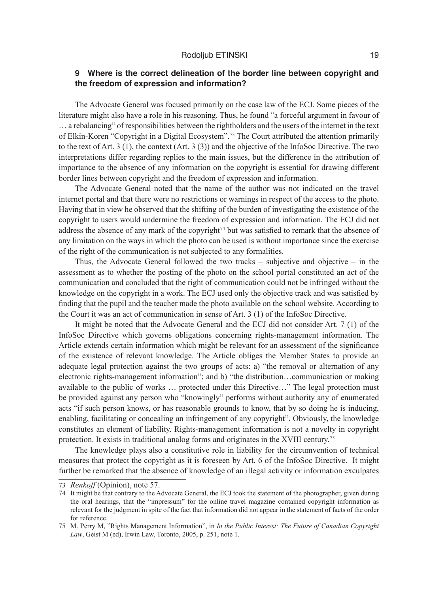# **9 Where is the correct delineation of the border line between copyright and the freedom of expression and information?**

The Advocate General was focused primarily on the case law of the ECJ. Some pieces of the literature might also have a role in his reasoning. Thus, he found "a forceful argument in favour of … a rebalancing" of responsibilities between the rightholders and the users of the internet in the text of Elkin-Koren "Copyright in a Digital Ecosystem". 73 The Court attributed the attention primarily to the text of Art. 3 (1), the context (Art. 3 (3)) and the objective of the InfoSoc Directive. The two interpretations differ regarding replies to the main issues, but the difference in the attribution of importance to the absence of any information on the copyright is essential for drawing different border lines between copyright and the freedom of expression and information.

The Advocate General noted that the name of the author was not indicated on the travel internet portal and that there were no restrictions or warnings in respect of the access to the photo. Having that in view he observed that the shifting of the burden of investigating the existence of the copyright to users would undermine the freedom of expression and information. The ECJ did not address the absence of any mark of the copyright<sup> $74$ </sup> but was satisfied to remark that the absence of any limitation on the ways in which the photo can be used is without importance since the exercise of the right of the communication is not subjected to any formalities.

Thus, the Advocate General followed the two tracks  $-$  subjective and objective  $-$  in the assessment as to whether the posting of the photo on the school portal constituted an act of the communication and concluded that the right of communication could not be infringed without the knowledge on the copyright in a work. The ECJ used only the objective track and was satisfied by finding that the pupil and the teacher made the photo available on the school website. According to the Court it was an act of communication in sense of Art. 3 (1) of the InfoSoc Directive.

It might be noted that the Advocate General and the ECJ did not consider Art. 7 (1) of the InfoSoc Directive which governs obligations concerning rights-management information. The Article extends certain information which might be relevant for an assessment of the significance of the existence of relevant knowledge. The Article obliges the Member States to provide an adequate legal protection against the two groups of acts: a) "the removal or alternation of any electronic rights-management information"; and b) "the distribution…communication or making available to the public of works … protected under this Directive…" The legal protection must be provided against any person who "knowingly" performs without authority any of enumerated acts "if such person knows, or has reasonable grounds to know, that by so doing he is inducing, enabling, facilitating or concealing an infringement of any copyright". Obviously, the knowledge constitutes an element of liability. Rights-management information is not a novelty in copyright protection. It exists in traditional analog forms and originates in the XVIII century.<sup>75</sup>

The knowledge plays also a constitutive role in liability for the circumvention of technical measures that protect the copyright as it is foreseen by Art. 6 of the InfoSoc Directive. It might further be remarked that the absence of knowledge of an illegal activity or information exculpates

<sup>73</sup> *Renkoff* (Opinion), note 57.

<sup>74</sup> It might be that contrary to the Advocate General, the ECJ took the statement of the photographer, given during the oral hearings, that the "impressum" for the online travel magazine contained copyright information as relevant for the judgment in spite of the fact that information did not appear in the statement of facts of the order for reference.

<sup>75</sup> M. Perry M, "Rights Management Information", in *In the Public Interest: The Future of Canadian Copyright Law*, Geist M (ed), Irwin Law, Toronto, 2005, p. 251, note 1.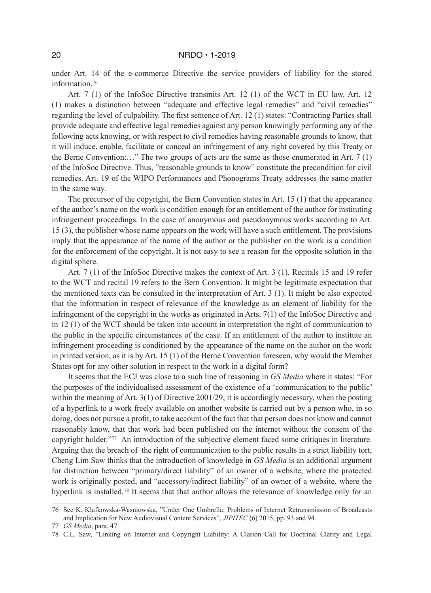under Art. 14 of the e-commerce Directive the service providers of liability for the stored information<sup>76</sup>

Art. 7 (1) of the InfoSoc Directive transmits Art. 12 (1) of the WCT in EU law. Art. 12 (1) makes a distinction between "adequate and effective legal remedies" and "civil remedies" regarding the level of culpability. The first sentence of Art. 12 (1) states: "Contracting Parties shall provide adequate and effective legal remedies against any person knowingly performing any of the following acts knowing, or with respect to civil remedies having reasonable grounds to know, that it will induce, enable, facilitate or conceal an infringement of any right covered by this Treaty or the Berne Convention:…" The two groups of acts are the same as those enumerated in Art. 7 (1) of the InfoSoc Directive. Thus, "reasonable grounds to know" constitute the precondition for civil remedies. Art. 19 of the WIPO Performances and Phonograms Treaty addresses the same matter in the same way.

The precursor of the copyright, the Bern Convention states in Art. 15 (1) that the appearance of the author's name on the work is condition enough for an entitlement of the author for instituting infringement proceedings. In the case of anonymous and pseudonymous works according to Art. 15 (3), the publisher whose name appears on the work will have a such entitlement. The provisions imply that the appearance of the name of the author or the publisher on the work is a condition for the enforcement of the copyright. It is not easy to see a reason for the opposite solution in the digital sphere.

Art. 7 (1) of the InfoSoc Directive makes the context of Art. 3 (1). Recitals 15 and 19 refer to the WCT and recital 19 refers to the Bern Convention. It might be legitimate expectation that the mentioned texts can be consulted in the interpretation of Art. 3 (1). It might be also expected that the information in respect of relevance of the knowledge as an element of liability for the infringement of the copyright in the works as originated in Arts.  $7(1)$  of the InfoSoc Directive and in 12 (1) of the WCT should be taken into account in interpretation the right of communication to the public in the specific circumstances of the case. If an entitlement of the author to institute an infringement proceeding is conditioned by the appearance of the name on the author on the work in printed version, as it is by Art. 15 (1) of the Berne Convention foreseen, why would the Member States opt for any other solution in respect to the work in a digital form?

It seems that the ECJ was close to a such line of reasoning in *GS Media* where it states: "For the purposes of the individualised assessment of the existence of a 'communication to the public' within the meaning of Art. 3(1) of Directive 2001/29, it is accordingly necessary, when the posting of a hyperlink to a work freely available on another website is carried out by a person who, in so doing, does not pursue a profit, to take account of the fact that that person does not know and cannot reasonably know, that that work had been published on the internet without the consent of the copyright holder." 77 An introduction of the subjective element faced some critiques in literature. Arguing that the breach of the right of communication to the public results in a strict liability tort, Cheng Lim Saw thinks that the introduction of knowledge in *GS Media* is an additional argument for distinction between "primary/direct liability" of an owner of a website, where the protected work is originally posted, and "accessory/indirect liability" of an owner of a website, where the hyperlink is installed.<sup>78</sup> It seems that that author allows the relevance of knowledge only for an

<sup>76</sup> See K. Klafkowska-Wasniowska, "Under One Umbrella: Problems of Internet Retransmission of Broadcasts and Implication for New Audiovisual Content Services", *JIPITEC* (6) 2015, pp. 93 and 94.

<sup>77</sup> *GS Media*, para. 47.

<sup>78</sup> C.L. Saw, "Linking on Internet and Copyright Liability: A Clarion Call for Doctrinal Clarity and Legal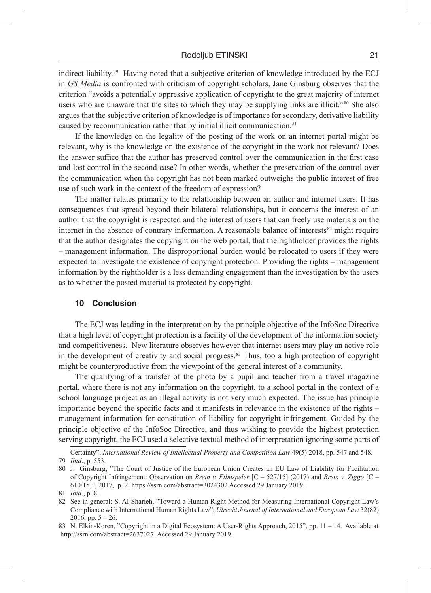indirect liability.<sup>79</sup> Having noted that a subjective criterion of knowledge introduced by the ECJ in *GS Media* is confronted with criticism of copyright scholars, Jane Ginsburg observes that the criterion "avoids a potentially oppressive application of copyright to the great majority of internet users who are unaware that the sites to which they may be supplying links are illicit."<sup>80</sup> She also argues that the subjective criterion of knowledge is of importance for secondary, derivative liability caused by recommunication rather that by initial illicit communication. 81

If the knowledge on the legality of the posting of the work on an internet portal might be relevant, why is the knowledge on the existence of the copyright in the work not relevant? Does the answer suffice that the author has preserved control over the communication in the first case and lost control in the second case? In other words, whether the preservation of the control over the communication when the copyright has not been marked outweighs the public interest of free use of such work in the context of the freedom of expression?

The matter relates primarily to the relationship between an author and internet users. It has consequences that spread beyond their bilateral relationships, but it concerns the interest of an author that the copyright is respected and the interest of users that can freely use materials on the internet in the absence of contrary information. A reasonable balance of interests<sup>82</sup> might require that the author designates the copyright on the web portal, that the rightholder provides the rights – management information. The disproportional burden would be relocated to users if they were expected to investigate the existence of copyright protection. Providing the rights – management information by the rightholder is a less demanding engagement than the investigation by the users as to whether the posted material is protected by copyright.

# **10 Conclusion**

The ECJ was leading in the interpretation by the principle objective of the InfoSoc Directive that a high level of copyright protection is a facility of the development of the information society and competitiveness. New literature observes however that internet users may play an active role in the development of creativity and social progress.<sup>83</sup> Thus, too a high protection of copyright might be counterproductive from the viewpoint of the general interest of a community.

The qualifying of a transfer of the photo by a pupil and teacher from a travel magazine portal, where there is not any information on the copyright, to a school portal in the context of a school language project as an illegal activity is not very much expected. The issue has principle importance beyond the specific facts and it manifests in relevance in the existence of the rights – management information for constitution of liability for copyright infringement. Guided by the principle objective of the InfoSoc Directive, and thus wishing to provide the highest protection serving copyright, the ECJ used a selective textual method of interpretation ignoring some parts of

Certainty", *International Review of Intellectual Property and Competition Law* 49(5) 2018, pp. 547 and 548. 79 *Ibid*., p. 553.

<sup>80</sup> J. Ginsburg, "The Court of Justice of the European Union Creates an EU Law of Liability for Facilitation of Copyright Infringement: Observation on *Brein v. Filmspeler* [C – 527/15] (2017) and *Brein v. Ziggo* [C – 610/15]", 2017, p. 2. https://ssrn.com/abstract=3024302 Accessed 29 January 2019.

<sup>81</sup> *Ibid*., p. 8.

<sup>82</sup> See in general: S. Al-Sharieh, "Toward a Human Right Method for Measuring International Copyright Law's Compliance with International Human Rights Law", *Utrecht Journal of International and European Law* 32(82)  $2016$ , pp.  $5 - 26$ .

<sup>83</sup> N. Elkin-Koren, "Copyright in a Digital Ecosystem: A User-Rights Approach, 2015", pp. 11 – 14. Available at http://ssrn.com/abstract=2637027 Accessed 29 January 2019.